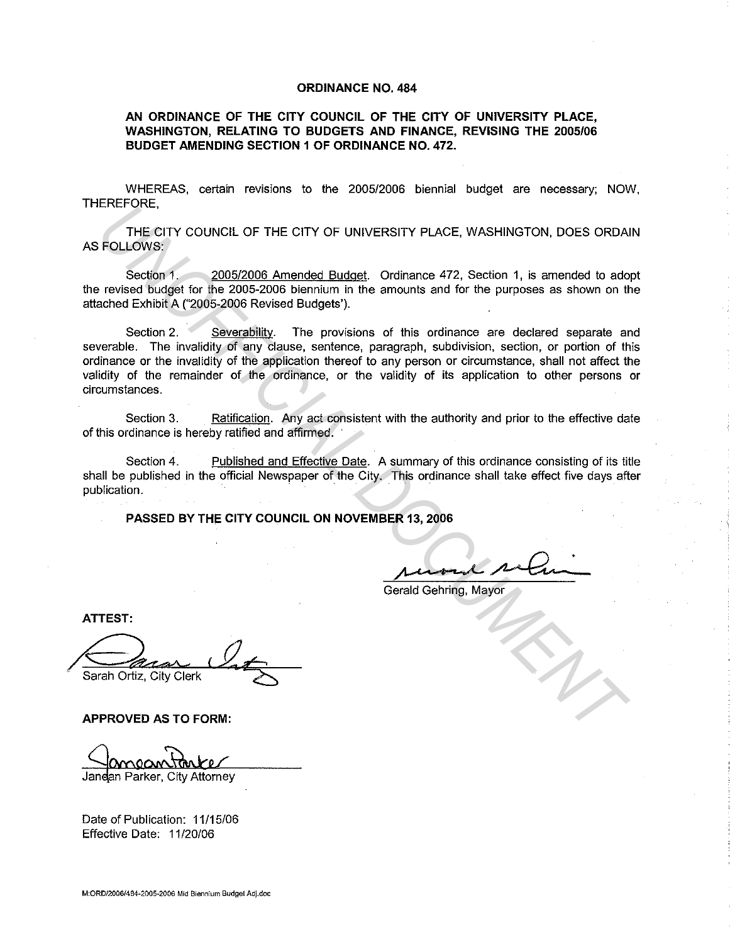#### **ORDINANCE NO. 484**

### **AN ORDINANCE OF THE CITY COUNCIL OF THE CITY OF UNIVERSITY PLACE, WASHINGTON, RELATING TO BUDGETS AND FINANCE, REVISING THE 2005/06 BUDGET AMENDING SECTION 1 OF ORDINANCE NO. 472.**

WHEREAS, certain revisions to the 2005/2006 biennial budget are necessary; NOW, THEREFORE,

THE CITY COUNCIL OF THE CITY OF UNIVERSITY PLACE, WASHINGTON, DOES ORDAIN AS FOLLOWS:

Section 1. 2005/2006 Amended Budget. Ordinance 472, Section 1, is amended to adopt the revised budget for the 2005-2006 biennium in the amounts and for the purposes as shown on the attached Exhibit A ("2005-2006 Revised Budgets').

Section 2. Severability. The provisions of this ordinance are declared separate and severable. The invalidity of any clause, sentence, paragraph, subdivision, section, or portion of this ordinance or the invalidity of the application thereof to any person or circumstance, shall not affect the validity of the remainder of the ordinance, or the validity of its application to other persons or circumstances. ENETY COUNCIL OF THE CITY OF UNIVERSITY PLACE, WASHINGTON, DOES ORDAIN-<br>
FOLLOWS:<br>
Section 1.<br>
Section 1. <u>2005/2005 Amended Budget</u>. Ordinance 472, Section 1, is amended to ado<br>
revised budget for the 2005-2006 Revised Bu

Section 3. Ratification. Any act consistent with the authority and prior to the effective date of this ordinance is hereby ratified and affirmed.

Section 4. Published and Effective Date. A summary of this ordinance consisting of its title shall be published in the official Newspaper of the City. This ordinance shall take effect five days after publication.

**PASSED BY THE CITY COUNCIL ON NOVEMBER 13, 2006** 

R 13, 2006<br> *Alloward Refining*, Mayor

Gerald Gehring, Mayor

**ATTEST:** 

**APPROVED AS TO FORM:** 

Jandan Parker, Citv Attornev

Date of Publication: 11/15/06 Effective Date: 11/20/06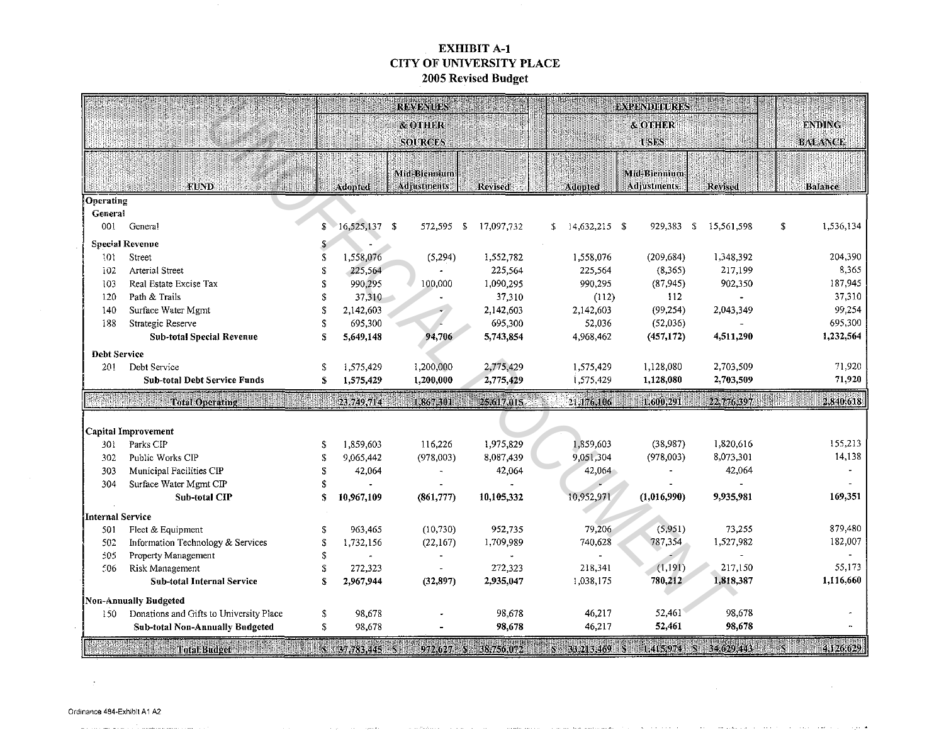## EXHIBIT A-1 CITY OF UNIVERSITY PLACE 2005 Revised Budget

|                         |                                                                         |    |                 | <b>REVENUES</b>                    |                |                       | <b>EXPENDITURES</b>                |                    |                                                                           |
|-------------------------|-------------------------------------------------------------------------|----|-----------------|------------------------------------|----------------|-----------------------|------------------------------------|--------------------|---------------------------------------------------------------------------|
|                         |                                                                         |    |                 | & OTHER<br><b>SOURCES</b>          |                |                       | & OTHER<br><b>USES</b>             |                    | <b>ENDING</b><br><b>BALANCE</b>                                           |
|                         | <b>FUND</b>                                                             |    | Adopted         | Mid-Biennium<br><b>Adjustments</b> | <b>Revised</b> | Adopted               | Mid-Biennium<br><b>Adjustments</b> | Revised            | <b>Balance</b>                                                            |
| Operating               |                                                                         |    |                 |                                    |                |                       |                                    |                    |                                                                           |
| General                 |                                                                         |    |                 |                                    |                |                       |                                    |                    |                                                                           |
| 001                     | Genera!                                                                 | S  | $16,525,137$ \$ | 572,595 \$                         | 17,097,732     | $14,632,215$ \$<br>S. | 929,383                            | - \$<br>15,561,598 | \$<br>1,536,134                                                           |
|                         | <b>Special Revenue</b>                                                  |    |                 |                                    |                |                       |                                    |                    |                                                                           |
| 101                     | Street                                                                  |    | 1,558,076       | (5, 294)                           | 1,552,782      | 1,558,076             | (209, 684)                         | 1,348,392          | 204,390                                                                   |
| 102                     | Arterial Street                                                         |    | 225,564         |                                    | 225,564        | 225,564               | (8, 365)                           | 217,199            | 8,365                                                                     |
| 103                     | Real Estate Excise Tax                                                  | S  | 990,295         | 100,000                            | 1,090,295      | 990,295               | (87, 945)                          | 902,350            | 187,945                                                                   |
| 120                     | Path & Trails                                                           | \$ | 37,310          |                                    | 37,310         | (112)                 | 112                                |                    | 37,310                                                                    |
| 140                     | Surface Water Mgmt                                                      | \$ | 2,142,603       |                                    | 2,142,603      | 2,142,603             | (99, 254)                          | 2,043,349          | 99,254                                                                    |
| 188                     | Strategic Reserve                                                       |    | 695,300         |                                    | 695,300        | 52,036                | (52,036)                           |                    | 695,300                                                                   |
|                         | <b>Sub-total Special Revenue</b>                                        | \$ | 5,649,148       | 94,706                             | 5,743,854      | 4,968,462             | (457, 172)                         | 4,511,290          | 1,232,564                                                                 |
| <b>Debt Service</b>     |                                                                         |    |                 |                                    |                |                       |                                    |                    |                                                                           |
| 201                     | Debt Service                                                            |    | 1,575,429       | 1,200,000                          | 2,775,429      | 1,575,429             | 1,128,080                          | 2,703,509          | 71.920                                                                    |
|                         | <b>Sub-total Debt Service Funds</b>                                     | \$ | 1,575,429       | 1,200,000                          | 2,775,429      | 1,575,429             | 1,128,080                          | 2,703,509          | 71,920                                                                    |
|                         | Total Operating the first state of the                                  |    | 23,749,714      | 1,867,301                          | 25,617,015     | 21,176,106            | 1,600,291                          | 22,776,397         | 2,840,618                                                                 |
|                         |                                                                         |    |                 |                                    |                |                       |                                    |                    |                                                                           |
|                         |                                                                         |    |                 |                                    |                |                       |                                    |                    |                                                                           |
|                         | Capital Improvement                                                     |    |                 |                                    |                |                       |                                    |                    |                                                                           |
| 301                     | Parks CIP                                                               | S  | 1,859,603       | 116,226                            | 1,975,829      | 1,859,603             | (38,987)                           | 1,820,616          |                                                                           |
| 302                     | Public Works CIP                                                        |    | 9,065,442       | (978,003)                          | 8,087,439      | 9,051,304             | (978,003)                          | 8,073,301          |                                                                           |
| 303                     | Municipal Facilities CIP                                                |    | 42,064          |                                    | 42,064         | 42,064                |                                    | 42,064             |                                                                           |
| 304                     | Surface Water Mgmt CIP                                                  |    |                 |                                    |                |                       |                                    |                    |                                                                           |
|                         | <b>Sub-total CIP</b>                                                    | S  | 10,967,109      | (861,777)                          | 10,105,332     | 10,952,971            | (1,016,990)                        | 9,935.981          |                                                                           |
|                         |                                                                         |    |                 |                                    |                |                       |                                    |                    |                                                                           |
| 501                     | Fleet & Equipment                                                       |    | 963,465         | (10, 730)                          | 952,735        | 79,206                | (5,951)                            | 73,255             |                                                                           |
| 502                     | Information Technology & Services                                       |    | 1,732,156       | (22, 167)                          | 1,709,989      | 740,628               | 787,354                            | 1,527,982          |                                                                           |
| 505                     | Property Management                                                     | £  |                 |                                    |                |                       |                                    |                    |                                                                           |
| 506                     | Risk Management                                                         |    | 272,323         |                                    | 272,323        | 218,341               | (1,191)                            | 217.150            |                                                                           |
| <b>Internal Service</b> | <b>Sub-total Internal Service</b>                                       |    | 2,967,944       | (32, 897)                          | 2,935,047      | 1,038,175             | 780,212                            | 1,818,387          |                                                                           |
|                         |                                                                         |    |                 |                                    |                |                       |                                    |                    |                                                                           |
| 150                     | <b>Non-Annually Budgeted</b><br>Donations and Gifts to University Place | \$ | 98,678          |                                    | 98,678         | 46,217                | 52,461                             | 98,678             | 155,213<br>14,138<br>169,351<br>879,480<br>182,007<br>55,173<br>1,116,660 |

and the state of the

 $\sim 100$ 

and the state

والمعاونة والمنافس والمنافر المتفاعل والمتعاون والمتعاون والمنافرة والمنافرة

 $\sim$ 

فالدد

**Contract Contract** 

the coast car in

**Carlos** 

 $\Delta$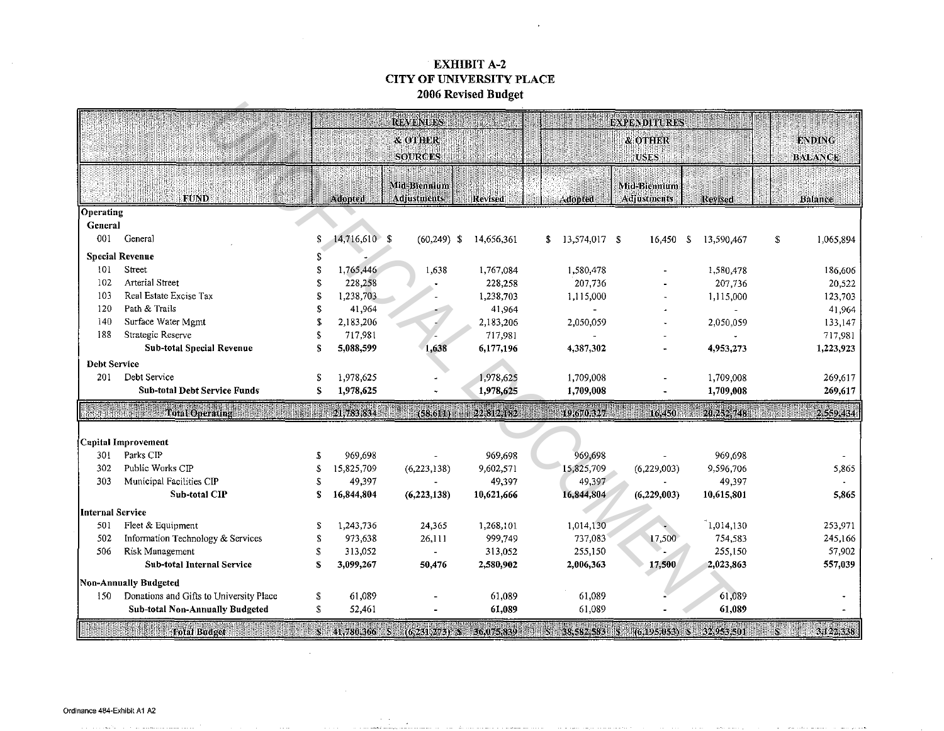# EXHIBIT A-2 CITY OF UNIVERSITY PLACE 2006 Revised Budget

| REVENUES<br><b>EXPENDITURES</b><br>& OTHER<br><b>FNDING</b><br><b>&amp; OTHER</b><br><b>SOURCES</b><br><b>USES</b><br><b>BALANCE</b><br>Mid-Biennium<br>Mid-Biennium<br><b>FUND</b><br>Adopted<br><b>Adjustments</b><br>Adjustments<br>Revised<br><b>Adopted</b><br>Revised<br>Balance<br>Operating<br><b>General</b><br>001<br>14,716,610 \$<br>General<br>\$<br>$$13,574,017$ \$<br>$(60, 249)$ \$<br>14,656,361<br>16,450<br>13,590,467<br>S<br>1,065,894<br>S<br><b>Special Revenue</b><br>\$<br>101<br>Street<br>\$<br>1,765,446<br>1,638<br>1,767,084<br>1,580,478<br>1,580,478<br>186,606<br><b>Arterial Street</b><br>102<br>228,258<br>228,258<br>\$<br>207,736<br>207,736<br>20,522<br>Real Estate Excise Tax<br>1,238,703<br>103<br>1,238,703<br>\$.<br>123,703<br>1,115,000<br>1,115,000<br>120<br>Path & Trails<br>S<br>41,964<br>41,964<br>41,964<br>140<br>Surface Water Mgmt<br>2,183,206<br>\$<br>2,183,206<br>2,050,059<br>2,050,059<br>133,147<br>188<br>Strategic Reserve<br>717,981<br>\$<br>717,981<br>717,981<br><b>Sub-total Special Revenue</b><br>5,088,599<br>\$<br>1,638<br>6,177,196<br>4,387,302<br>4,953,273<br>1,223,923<br><b>Debt Service</b><br>Debt Service<br>1,978,625<br>1,978,625<br>201<br>1,709,008<br>1,709,008<br>269,617<br>\$<br><b>Sub-total Debt Service Funds</b><br>\$<br>1,978,625<br>1,978,625<br>1,709,008<br>1,709,008<br>269,617<br>21,783,834<br>22,812,182<br>de de la componencia de la componencia de la componencia de la componencia de la componencia de la componencia<br>$20.252$ 748<br>19:670.327<br>2,559,434<br>(58.611)<br>16:450<br>Capital Improvement<br>Parks CIP<br>969,698<br>969,698<br>969,698<br>969,698<br>301<br>£.<br>302<br>Public Works CIP<br>15,825,709<br>9,602,571<br>15,825,709<br>S<br>(6,223,138)<br>(6,229,003)<br>9,596,706<br>5,865<br>49,397<br>303<br>Municipal Facilities CIP<br>49,397<br>49,397<br>S<br>49,397<br>Sub-total CIP<br>16,844,804<br>16,844,804<br>s<br>(6,223,138)<br>10,621,666<br>(6, 229, 003)<br>10,615,801<br>5,865<br>Internal Service |
|-------------------------------------------------------------------------------------------------------------------------------------------------------------------------------------------------------------------------------------------------------------------------------------------------------------------------------------------------------------------------------------------------------------------------------------------------------------------------------------------------------------------------------------------------------------------------------------------------------------------------------------------------------------------------------------------------------------------------------------------------------------------------------------------------------------------------------------------------------------------------------------------------------------------------------------------------------------------------------------------------------------------------------------------------------------------------------------------------------------------------------------------------------------------------------------------------------------------------------------------------------------------------------------------------------------------------------------------------------------------------------------------------------------------------------------------------------------------------------------------------------------------------------------------------------------------------------------------------------------------------------------------------------------------------------------------------------------------------------------------------------------------------------------------------------------------------------------------------------------------------------------------------------------------------------------------------------------------------------------------------------------------------------------------------------------|
|                                                                                                                                                                                                                                                                                                                                                                                                                                                                                                                                                                                                                                                                                                                                                                                                                                                                                                                                                                                                                                                                                                                                                                                                                                                                                                                                                                                                                                                                                                                                                                                                                                                                                                                                                                                                                                                                                                                                                                                                                                                             |
|                                                                                                                                                                                                                                                                                                                                                                                                                                                                                                                                                                                                                                                                                                                                                                                                                                                                                                                                                                                                                                                                                                                                                                                                                                                                                                                                                                                                                                                                                                                                                                                                                                                                                                                                                                                                                                                                                                                                                                                                                                                             |
|                                                                                                                                                                                                                                                                                                                                                                                                                                                                                                                                                                                                                                                                                                                                                                                                                                                                                                                                                                                                                                                                                                                                                                                                                                                                                                                                                                                                                                                                                                                                                                                                                                                                                                                                                                                                                                                                                                                                                                                                                                                             |
|                                                                                                                                                                                                                                                                                                                                                                                                                                                                                                                                                                                                                                                                                                                                                                                                                                                                                                                                                                                                                                                                                                                                                                                                                                                                                                                                                                                                                                                                                                                                                                                                                                                                                                                                                                                                                                                                                                                                                                                                                                                             |
|                                                                                                                                                                                                                                                                                                                                                                                                                                                                                                                                                                                                                                                                                                                                                                                                                                                                                                                                                                                                                                                                                                                                                                                                                                                                                                                                                                                                                                                                                                                                                                                                                                                                                                                                                                                                                                                                                                                                                                                                                                                             |
|                                                                                                                                                                                                                                                                                                                                                                                                                                                                                                                                                                                                                                                                                                                                                                                                                                                                                                                                                                                                                                                                                                                                                                                                                                                                                                                                                                                                                                                                                                                                                                                                                                                                                                                                                                                                                                                                                                                                                                                                                                                             |
|                                                                                                                                                                                                                                                                                                                                                                                                                                                                                                                                                                                                                                                                                                                                                                                                                                                                                                                                                                                                                                                                                                                                                                                                                                                                                                                                                                                                                                                                                                                                                                                                                                                                                                                                                                                                                                                                                                                                                                                                                                                             |
|                                                                                                                                                                                                                                                                                                                                                                                                                                                                                                                                                                                                                                                                                                                                                                                                                                                                                                                                                                                                                                                                                                                                                                                                                                                                                                                                                                                                                                                                                                                                                                                                                                                                                                                                                                                                                                                                                                                                                                                                                                                             |
|                                                                                                                                                                                                                                                                                                                                                                                                                                                                                                                                                                                                                                                                                                                                                                                                                                                                                                                                                                                                                                                                                                                                                                                                                                                                                                                                                                                                                                                                                                                                                                                                                                                                                                                                                                                                                                                                                                                                                                                                                                                             |
|                                                                                                                                                                                                                                                                                                                                                                                                                                                                                                                                                                                                                                                                                                                                                                                                                                                                                                                                                                                                                                                                                                                                                                                                                                                                                                                                                                                                                                                                                                                                                                                                                                                                                                                                                                                                                                                                                                                                                                                                                                                             |
|                                                                                                                                                                                                                                                                                                                                                                                                                                                                                                                                                                                                                                                                                                                                                                                                                                                                                                                                                                                                                                                                                                                                                                                                                                                                                                                                                                                                                                                                                                                                                                                                                                                                                                                                                                                                                                                                                                                                                                                                                                                             |
|                                                                                                                                                                                                                                                                                                                                                                                                                                                                                                                                                                                                                                                                                                                                                                                                                                                                                                                                                                                                                                                                                                                                                                                                                                                                                                                                                                                                                                                                                                                                                                                                                                                                                                                                                                                                                                                                                                                                                                                                                                                             |
|                                                                                                                                                                                                                                                                                                                                                                                                                                                                                                                                                                                                                                                                                                                                                                                                                                                                                                                                                                                                                                                                                                                                                                                                                                                                                                                                                                                                                                                                                                                                                                                                                                                                                                                                                                                                                                                                                                                                                                                                                                                             |
|                                                                                                                                                                                                                                                                                                                                                                                                                                                                                                                                                                                                                                                                                                                                                                                                                                                                                                                                                                                                                                                                                                                                                                                                                                                                                                                                                                                                                                                                                                                                                                                                                                                                                                                                                                                                                                                                                                                                                                                                                                                             |
|                                                                                                                                                                                                                                                                                                                                                                                                                                                                                                                                                                                                                                                                                                                                                                                                                                                                                                                                                                                                                                                                                                                                                                                                                                                                                                                                                                                                                                                                                                                                                                                                                                                                                                                                                                                                                                                                                                                                                                                                                                                             |
|                                                                                                                                                                                                                                                                                                                                                                                                                                                                                                                                                                                                                                                                                                                                                                                                                                                                                                                                                                                                                                                                                                                                                                                                                                                                                                                                                                                                                                                                                                                                                                                                                                                                                                                                                                                                                                                                                                                                                                                                                                                             |
|                                                                                                                                                                                                                                                                                                                                                                                                                                                                                                                                                                                                                                                                                                                                                                                                                                                                                                                                                                                                                                                                                                                                                                                                                                                                                                                                                                                                                                                                                                                                                                                                                                                                                                                                                                                                                                                                                                                                                                                                                                                             |
|                                                                                                                                                                                                                                                                                                                                                                                                                                                                                                                                                                                                                                                                                                                                                                                                                                                                                                                                                                                                                                                                                                                                                                                                                                                                                                                                                                                                                                                                                                                                                                                                                                                                                                                                                                                                                                                                                                                                                                                                                                                             |
|                                                                                                                                                                                                                                                                                                                                                                                                                                                                                                                                                                                                                                                                                                                                                                                                                                                                                                                                                                                                                                                                                                                                                                                                                                                                                                                                                                                                                                                                                                                                                                                                                                                                                                                                                                                                                                                                                                                                                                                                                                                             |
|                                                                                                                                                                                                                                                                                                                                                                                                                                                                                                                                                                                                                                                                                                                                                                                                                                                                                                                                                                                                                                                                                                                                                                                                                                                                                                                                                                                                                                                                                                                                                                                                                                                                                                                                                                                                                                                                                                                                                                                                                                                             |
|                                                                                                                                                                                                                                                                                                                                                                                                                                                                                                                                                                                                                                                                                                                                                                                                                                                                                                                                                                                                                                                                                                                                                                                                                                                                                                                                                                                                                                                                                                                                                                                                                                                                                                                                                                                                                                                                                                                                                                                                                                                             |
|                                                                                                                                                                                                                                                                                                                                                                                                                                                                                                                                                                                                                                                                                                                                                                                                                                                                                                                                                                                                                                                                                                                                                                                                                                                                                                                                                                                                                                                                                                                                                                                                                                                                                                                                                                                                                                                                                                                                                                                                                                                             |
|                                                                                                                                                                                                                                                                                                                                                                                                                                                                                                                                                                                                                                                                                                                                                                                                                                                                                                                                                                                                                                                                                                                                                                                                                                                                                                                                                                                                                                                                                                                                                                                                                                                                                                                                                                                                                                                                                                                                                                                                                                                             |
|                                                                                                                                                                                                                                                                                                                                                                                                                                                                                                                                                                                                                                                                                                                                                                                                                                                                                                                                                                                                                                                                                                                                                                                                                                                                                                                                                                                                                                                                                                                                                                                                                                                                                                                                                                                                                                                                                                                                                                                                                                                             |
|                                                                                                                                                                                                                                                                                                                                                                                                                                                                                                                                                                                                                                                                                                                                                                                                                                                                                                                                                                                                                                                                                                                                                                                                                                                                                                                                                                                                                                                                                                                                                                                                                                                                                                                                                                                                                                                                                                                                                                                                                                                             |
|                                                                                                                                                                                                                                                                                                                                                                                                                                                                                                                                                                                                                                                                                                                                                                                                                                                                                                                                                                                                                                                                                                                                                                                                                                                                                                                                                                                                                                                                                                                                                                                                                                                                                                                                                                                                                                                                                                                                                                                                                                                             |
|                                                                                                                                                                                                                                                                                                                                                                                                                                                                                                                                                                                                                                                                                                                                                                                                                                                                                                                                                                                                                                                                                                                                                                                                                                                                                                                                                                                                                                                                                                                                                                                                                                                                                                                                                                                                                                                                                                                                                                                                                                                             |
|                                                                                                                                                                                                                                                                                                                                                                                                                                                                                                                                                                                                                                                                                                                                                                                                                                                                                                                                                                                                                                                                                                                                                                                                                                                                                                                                                                                                                                                                                                                                                                                                                                                                                                                                                                                                                                                                                                                                                                                                                                                             |
|                                                                                                                                                                                                                                                                                                                                                                                                                                                                                                                                                                                                                                                                                                                                                                                                                                                                                                                                                                                                                                                                                                                                                                                                                                                                                                                                                                                                                                                                                                                                                                                                                                                                                                                                                                                                                                                                                                                                                                                                                                                             |
|                                                                                                                                                                                                                                                                                                                                                                                                                                                                                                                                                                                                                                                                                                                                                                                                                                                                                                                                                                                                                                                                                                                                                                                                                                                                                                                                                                                                                                                                                                                                                                                                                                                                                                                                                                                                                                                                                                                                                                                                                                                             |
| 1,014,130<br>1,268,101<br>1,014,130<br>253,971<br>501<br>Fleet & Equipment<br>1,243,736<br>24,365<br>S                                                                                                                                                                                                                                                                                                                                                                                                                                                                                                                                                                                                                                                                                                                                                                                                                                                                                                                                                                                                                                                                                                                                                                                                                                                                                                                                                                                                                                                                                                                                                                                                                                                                                                                                                                                                                                                                                                                                                      |
| 17,500<br>502<br>Information Technology & Services<br>973,638<br>26,111<br>999,749<br>737,083<br>754,583<br>245,166<br>\$                                                                                                                                                                                                                                                                                                                                                                                                                                                                                                                                                                                                                                                                                                                                                                                                                                                                                                                                                                                                                                                                                                                                                                                                                                                                                                                                                                                                                                                                                                                                                                                                                                                                                                                                                                                                                                                                                                                                   |
| 506<br>Risk Management<br>255,150<br>57,902<br>313,052<br>313,052<br>255,150<br>\$                                                                                                                                                                                                                                                                                                                                                                                                                                                                                                                                                                                                                                                                                                                                                                                                                                                                                                                                                                                                                                                                                                                                                                                                                                                                                                                                                                                                                                                                                                                                                                                                                                                                                                                                                                                                                                                                                                                                                                          |
| 3,099,267<br>17,500<br>557,039<br>Sub-total Internal Service<br>\$<br>50,476<br>2,580,902<br>2,006,363<br>2,023,863                                                                                                                                                                                                                                                                                                                                                                                                                                                                                                                                                                                                                                                                                                                                                                                                                                                                                                                                                                                                                                                                                                                                                                                                                                                                                                                                                                                                                                                                                                                                                                                                                                                                                                                                                                                                                                                                                                                                         |
| Non-Annually Budgeted                                                                                                                                                                                                                                                                                                                                                                                                                                                                                                                                                                                                                                                                                                                                                                                                                                                                                                                                                                                                                                                                                                                                                                                                                                                                                                                                                                                                                                                                                                                                                                                                                                                                                                                                                                                                                                                                                                                                                                                                                                       |
| Donations and Gifts to University Place<br>61,089<br>\$<br>61,089<br>61,089<br>61,089<br>150                                                                                                                                                                                                                                                                                                                                                                                                                                                                                                                                                                                                                                                                                                                                                                                                                                                                                                                                                                                                                                                                                                                                                                                                                                                                                                                                                                                                                                                                                                                                                                                                                                                                                                                                                                                                                                                                                                                                                                |
| \$<br>61,089<br>Sub-total Non-Annually Budgeted<br>52,461<br>61,089<br>61,089                                                                                                                                                                                                                                                                                                                                                                                                                                                                                                                                                                                                                                                                                                                                                                                                                                                                                                                                                                                                                                                                                                                                                                                                                                                                                                                                                                                                                                                                                                                                                                                                                                                                                                                                                                                                                                                                                                                                                                               |
|                                                                                                                                                                                                                                                                                                                                                                                                                                                                                                                                                                                                                                                                                                                                                                                                                                                                                                                                                                                                                                                                                                                                                                                                                                                                                                                                                                                                                                                                                                                                                                                                                                                                                                                                                                                                                                                                                                                                                                                                                                                             |

The constant market consistency of the

the contract contract of

a concern contractor of

The Commission of the commission of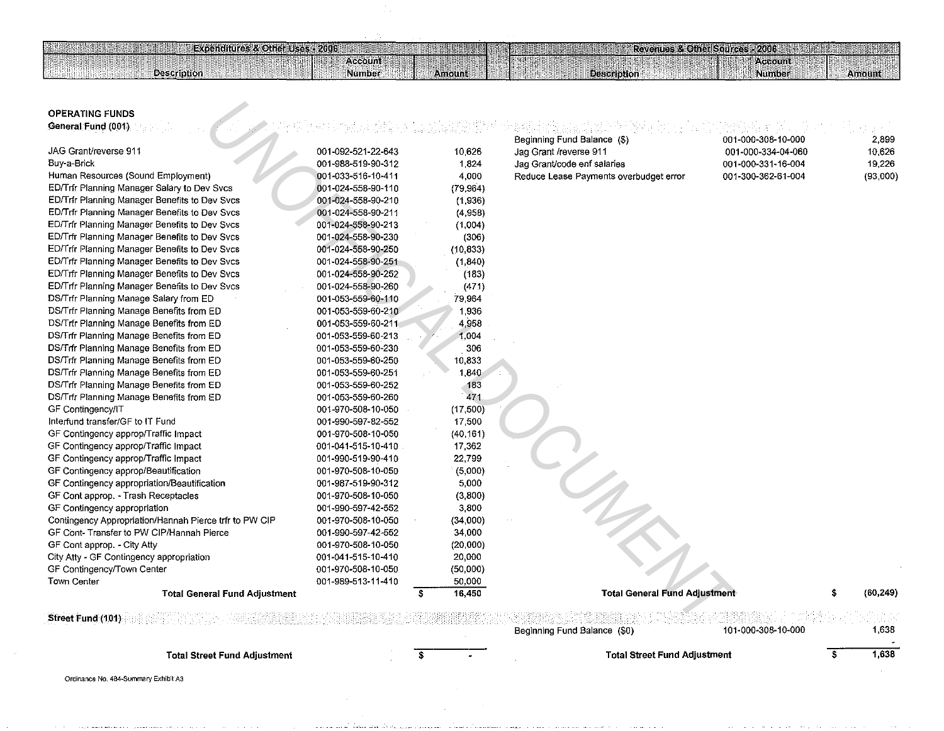#### OPERATING FUNDS **General Fund (001)**

**Description** 

**Expenditures & Other Uses P2006** 

**ALL AND REAL PROPERTY** 

HUN

Account

Number

| <b>OPERATING FUNDS</b><br>General Fund (001)           |                    |           | Beginning Fund Balance (\$)            | 001-000-308-10-000 | 2,899     |
|--------------------------------------------------------|--------------------|-----------|----------------------------------------|--------------------|-----------|
| JAG Grant/reverse 911                                  | 001-092-521-22-643 | 10.626    | Jag Grant /reverse 911                 | 001-000-334-04-060 | 10,626    |
| Buy-a-Brick                                            | 001-988-519-90-312 | 1.824     | Jag Grant/code enf salaries            | 001-000-331-16-004 | 19,226    |
| Human Resources (Sound Employment)                     | 001-033-516-10-411 | 4,000     | Reduce Lease Payments overbudget error | 001-300-362-61-004 | (93,000)  |
| ED/Trfr Planning Manager Salary to Dev Svcs            | 001-024-558-90-110 | (79, 964) |                                        |                    |           |
| ED/Trfr Planning Manager Benefits to Dev Svcs          | 001-024-558-90-210 | (1,936)   |                                        |                    |           |
| ED/Trfr Planning Manager Benefits to Dev Svcs          | 001-024-558-90-211 | (4,958)   |                                        |                    |           |
| ED/Trfr Planning Manager Benefits to Dev Svcs          | 001-024-558-90-213 | (1,004)   |                                        |                    |           |
| ED/Trfr Planning Manager Benefits to Dev Svcs          | 001-024-558-90-230 | (306)     |                                        |                    |           |
| ED/Trfr Planning Manager Benefits to Dev Svcs          | 001-024-558-90-250 | (10, 833) |                                        |                    |           |
| ED/Trfr Planning Manager Benefits to Dev Svcs          | 001-024-558-90-251 | (1,840)   |                                        |                    |           |
| ED/Trfr Planning Manager Benefits to Dev Svcs          | 001-024-558-90-252 | (183)     |                                        |                    |           |
| ED/Trfr Planning Manager Benefits to Dev Svcs          | 001-024-558-90-260 | (471)     |                                        |                    |           |
| DS/Trfr Planning Manage Salary from ED                 | 001-053-559-60-110 | 79,964    |                                        |                    |           |
| DS/Trfr Planning Manage Benefits from ED               | 001-053-559-60-210 | 1,936     |                                        |                    |           |
| DS/Trfr Planning Manage Benefits from ED               | 001-053-559-60-211 | 4,958     |                                        |                    |           |
| DS/Trfr Planning Manage Benefits from ED               | 001-053-559-60-213 | 1,004     |                                        |                    |           |
| DS/Trfr Planning Manage Benefits from ED               | 001-053-559-60-230 | 306       |                                        |                    |           |
| DS/Trfr Planning Manage Benefits from ED               | 001-053-559-60-250 | 10,833    |                                        |                    |           |
| DS/Trfr Planning Manage Benefits from ED               | 001-053-559-60-251 | 1,840     |                                        |                    |           |
| DS/Trfr Planning Manage Benefits from ED               | 001-053-559-60-252 | 183       |                                        |                    |           |
| DS/Trfr Planning Manage Benefits from ED               | 001-053-559-60-260 | 471       |                                        |                    |           |
| GF Contingency/IT                                      | 001-970-508-10-050 | (17,500)  |                                        |                    |           |
| Interfund transfer/GF to IT Fund                       | 001-990-597-82-552 | 17,500    |                                        |                    |           |
| GF Contingency approp/Traffic Impact                   | 001-970-508-10-050 | (40.161)  |                                        |                    |           |
| GF Contingency approp/Traffic Impact                   | 001-041-515-10-410 | 17,362    |                                        |                    |           |
| GF Contingency approp/Traffic Impact                   | 001-990-519-90-410 | 22,799    |                                        |                    |           |
| GF Contingency approp/Beautification                   | 001-970-508-10-050 | (5,000)   |                                        |                    |           |
| GF Contingency appropriation/Beautification            | 001-987-519-90-312 | 5,000     |                                        |                    |           |
| GF Cont approp. - Trash Receptacles                    | 001-970-508-10-050 | (3,800)   |                                        |                    |           |
| GF Contingency appropriation                           | 001-990-597-42-552 | 3,800     |                                        |                    |           |
| Contingency Appropriation/Hannah Pierce trfr to PW CIP | 001-970-508-10-050 | (34,000)  |                                        |                    |           |
| GF Cont- Transfer to PW CIP/Hannah Pierce              | 001-990-597-42-552 | 34,000    |                                        |                    |           |
| GF Cont approp. - City Atty                            | 001-970-508-10-050 | (20,000)  |                                        |                    |           |
| City Atty - GF Contingency appropriation               | 001-041-515-10-410 | 20,000    |                                        |                    |           |
| GF Contingency/Town Center                             | 001-970-508-10-050 | (50,000)  |                                        |                    |           |
| Town Center                                            | 001-989-513-11-410 | 50,000    |                                        |                    |           |
| <b>Total General Fund Adjustment</b>                   |                    | 16,450    | <b>Total General Fund Adjustment</b>   |                    | (60, 249) |
| Street Fund (101)                                      |                    |           |                                        |                    |           |

**ANDURANCE** 

Amount

Шł

**Description** 

Revenues & Offici Sources - 2006 Name Stat

**Account** 

Amount

Number

| Street Fund (101)                    |  |  | Beginning Fund Balance (\$0)        | 101-000-308-10-000 | 1.638 |
|--------------------------------------|--|--|-------------------------------------|--------------------|-------|
| <b>Total Street Fund Adjustment</b>  |  |  | <b>Total Street Fund Adjustment</b> |                    | 1.638 |
| Ordinance No. 484-Summary Exhibit A3 |  |  |                                     |                    |       |

Ordinance No. 484-Summary Exhibit A3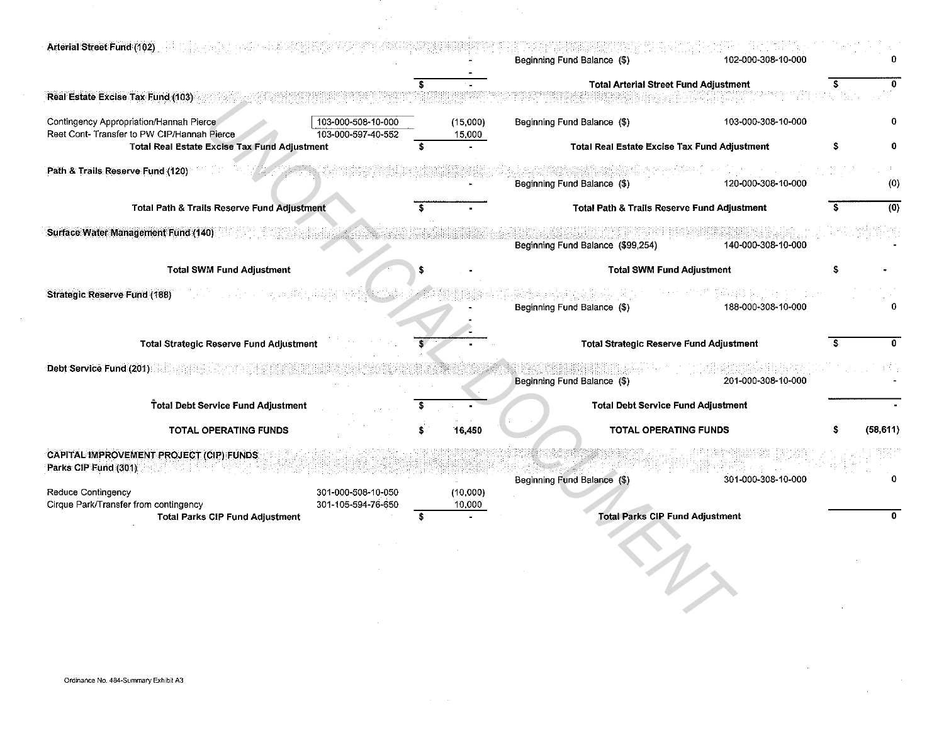| Arterial Street Fund (102)                                                             |                                          |                    | Beginning Fund Balance (\$)                         | 102-000-308-10-000 |           |
|----------------------------------------------------------------------------------------|------------------------------------------|--------------------|-----------------------------------------------------|--------------------|-----------|
| Real Estate Excise Tax Fund (103)                                                      |                                          |                    | Total Arterial Street Fund Adjustment               |                    | 0         |
| Contingency Appropriation/Hannah Pierce<br>Reet Cont- Transfer to PW CIP/Hannah Pierce | 103-000-508-10-000<br>103-000-597-40-552 | (15,000)<br>15,000 | Beginning Fund Balance (\$)                         | 103-000-308-10-000 | 0         |
| <b>Total Real Estate Excise Tax Fund Adjustment</b>                                    |                                          |                    | <b>Total Real Estate Excise Tax Fund Adjustment</b> |                    | 0         |
| Path & Trails Reserve Fund (120)                                                       |                                          |                    | Beginning Fund Balance (\$)                         | 120-000-308-10-000 | (0)       |
| Total Path & Trails Reserve Fund Adjustment                                            |                                          |                    | Total Path & Trails Reserve Fund Adjustment         |                    | (0)       |
| Surface Water Management Fund (140)                                                    |                                          |                    | Beginning Fund Balance (\$99,254)                   | 140-000-308-10-000 |           |
| <b>Total SWM Fund Adjustment</b>                                                       |                                          |                    | <b>Total SWM Fund Adjustment</b>                    |                    |           |
| <b>Strategic Reserve Fund (188)</b>                                                    |                                          |                    |                                                     |                    |           |
|                                                                                        |                                          |                    | Beginning Fund Balance (\$)                         | 188-000-308-10-000 |           |
|                                                                                        |                                          |                    |                                                     |                    |           |
| <b>Total Strategic Reserve Fund Adjustment</b>                                         |                                          |                    | Total Strategic Reserve Fund Adjustment             |                    |           |
| Debt Service Fund (201)                                                                |                                          |                    | Beginning Fund Balance (\$)                         | 201-000-308-10-000 |           |
| Total Debt Service Fund Adjustment                                                     |                                          |                    | <b>Total Debt Service Fund Adjustment</b>           |                    |           |
| TOTAL OPERATING FUNDS                                                                  |                                          | 16.450             | TOTAL OPERATING FUNDS                               |                    | (58, 611) |
| CAPITAL IMPROVEMENT PROJECT (CIP) FUNDS.<br>Parks CIP Fund (301)                       |                                          |                    | Beginning Fund Balance (\$)                         | 301-000-308-10-000 |           |
| Reduce Contingency                                                                     | 301-000-508-10-050                       | (10,000)           |                                                     |                    |           |
| Cirque Park/Transfer from contingency<br><b>Total Parks CIP Fund Adjustment</b>        | 301-105-594-76-650                       | 10,000             | <b>Total Parks CIP Fund Adjustment</b>              |                    | O.        |
|                                                                                        |                                          |                    |                                                     |                    |           |

 $\sim 10^6$ 

 $\sim$ 

 $\sim 10^{-1}$ 

 $\mathcal{L}(\mathcal{A})$  and  $\mathcal{L}(\mathcal{A})$  . The set of  $\mathcal{L}(\mathcal{A})$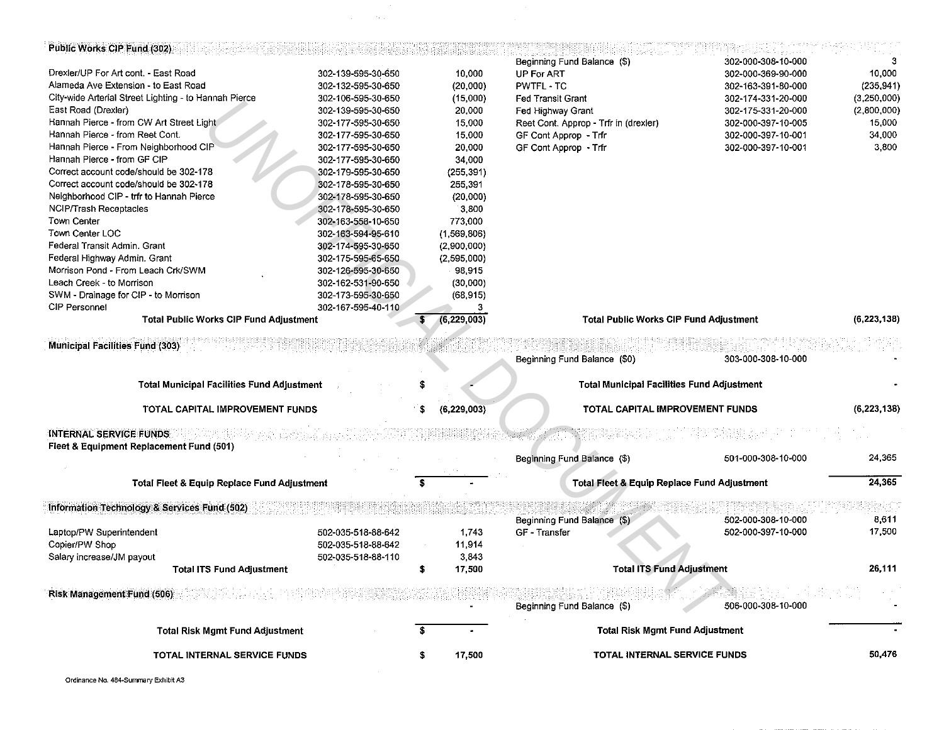| Public Works CIP Fund (302)                                                      |                    |                    |                                                        | 302-000-308-10-000 |               |
|----------------------------------------------------------------------------------|--------------------|--------------------|--------------------------------------------------------|--------------------|---------------|
| Drexler/UP For Art cont. - East Road                                             | 302-139-595-30-650 | 10,000             | Beginning Fund Balance (\$)<br><b>UP For ART</b>       | 302-000-369-90-000 | 10,000        |
| Alameda Ave Extension - to East Road                                             | 302-132-595-30-650 | (20,000)           | <b>PWTFL-TC</b>                                        | 302-163-391-80-000 | (235, 941)    |
| City-wide Arterial Street Lighting - to Hannah Pierce                            | 302-106-595-30-650 | (15,000)           | Fed Transit Grant                                      | 302-174-331-20-000 | (3,250,000)   |
| East Road (Drexler)                                                              | 302-139-595-30-650 | 20,000             | Fed Highway Grant                                      | 302-175-331-20-000 | (2,800,000)   |
| Hannah Pierce - from CW Art Street Light                                         | 302-177-595-30-650 |                    |                                                        |                    | 15,000        |
| Hannah Pierce - from Reet Cont.                                                  |                    | 15,000<br>15,000   | Reet Cont. Approp - Trir in (drexler)                  | 302-000-397-10-005 | 34,000        |
| Hannah Pierce - From Neighborhood CIP                                            | 302-177-595-30-650 |                    | GF Cont Approp - Trfr                                  | 302-000-397-10-001 | 3,800         |
|                                                                                  | 302-177-595-30-650 | 20,000             | GF Cont Approp - Trfr                                  | 302-000-397-10-001 |               |
| Hannah Pierce - from GF CIP                                                      | 302-177-595-30-650 | 34 000             |                                                        |                    |               |
| Correct account code/should be 302-178<br>Correct account code/should be 302-178 | 302-179-595-30-650 | (255, 391)         |                                                        |                    |               |
|                                                                                  | 302-178-595-30-650 | 255,391            |                                                        |                    |               |
| Neighborhood CIP - trfr to Hannah Pierce                                         | 302-178-595-30-650 | (20,000)           |                                                        |                    |               |
| NCIP/Trash Receptacles                                                           | 302-178-595-30-650 | 3,800              |                                                        |                    |               |
| Town Center                                                                      | 302-163-558-10-650 | 773,000            |                                                        |                    |               |
| Town Center LOC                                                                  | 302-163-594-95-610 | (1,569.806)        |                                                        |                    |               |
| Federal Transit Admin. Grant                                                     | 302-174-595-30-650 | (2,900,000)        |                                                        |                    |               |
| Federal Highway Admin. Grant                                                     | 302-175-595-65-650 | (2,595,000)        |                                                        |                    |               |
| Morrison Pond - From Leach Crk/SWM                                               | 302-126-595-30-650 | 98 915             |                                                        |                    |               |
| Leach Creek - to Morrison                                                        | 302-162-531-90-650 | (30,000)           |                                                        |                    |               |
| SWM - Drainage for CIP - to Morrison                                             | 302-173-595-30-650 | (68, 915)          |                                                        |                    |               |
| CIP Personnel                                                                    | 302-167-595-40-110 | з                  |                                                        |                    |               |
| <b>Total Public Works CIP Fund Adjustment</b>                                    |                    | (6, 229, 003)      | <b>Total Public Works CIP Fund Adjustment</b>          |                    | (6, 223, 138) |
| <b>Municipal Facilities Fund (303)</b>                                           |                    |                    | Beginning Fund Balance (\$0)                           | 303-000-308-10-000 |               |
| <b>Total Municipal Facilities Fund Adjustment</b>                                |                    |                    | <b>Total Municipal Facilities Fund Adjustment</b>      |                    |               |
| TOTAL CAPITAL IMPROVEMENT FUNDS                                                  |                    | (6, 229, 003)<br>s | TOTAL CAPITAL IMPROVEMENT FUNDS                        |                    | (6, 223, 138) |
| <b>INTERNAL SERVICE FUNDS</b><br>Fleet & Equipment Replacement Fund (501)        |                    |                    |                                                        |                    |               |
|                                                                                  |                    |                    | Beginning Fund Balance (\$)                            | 501-000-308-10-000 | 24 3 65       |
| Total Fleet & Equip Replace Fund Adjustment                                      |                    |                    | <b>Total Fleet &amp; Equip Replace Fund Adjustment</b> |                    | 24,365        |
| Information Technology & Services Fund (502)                                     |                    |                    |                                                        |                    |               |
|                                                                                  |                    |                    | Beginning Fund Balance (\$)                            | 502-000-308-10-000 | 8.611         |
| Laptop/PW Superintendent                                                         | 502-035-518-88-642 | 1.743              | GF Transfer                                            | 502-000-397-10-000 | 17,500        |
| Copier/PW Shop                                                                   | 502-035-518-88-642 | 11,914             |                                                        |                    |               |
| Salary increase/JM payout                                                        | 502-035-518-88-110 | 3843               |                                                        |                    |               |
| <b>Total ITS Fund Adjustment</b>                                                 |                    | 17,500             | <b>Total ITS Fund Adjustment</b>                       |                    | 26,111        |
|                                                                                  |                    |                    |                                                        |                    |               |
| Risk Management Fund (506)                                                       |                    |                    | Beginning Fund Balance (\$)                            | 506-000-308-10-000 |               |
| <b>Total Risk Mgmt Fund Adjustment</b>                                           |                    | s                  | <b>Total Risk Mgmt Fund Adjustment</b>                 |                    |               |
| <b>TOTAL INTERNAL SERVICE FUNDS</b>                                              |                    | 17,500<br>s        | TOTAL INTERNAL SERVICE FUNDS                           |                    | 50,476        |
|                                                                                  |                    |                    |                                                        |                    |               |

 $\label{eq:2.1} \begin{split} \mathcal{L}_{\text{max}}(\mathbf{r},\mathbf{r}) = \mathcal{L}_{\text{max}}(\mathbf{r},\mathbf{r}) \mathcal{L}_{\text{max}}(\mathbf{r},\mathbf{r}) = \mathcal{L}_{\text{max}}(\mathbf{r},\mathbf{r}) \mathcal{L}_{\text{max}}(\mathbf{r},\mathbf{r}) \mathcal{L}_{\text{max}}(\mathbf{r},\mathbf{r}) \mathcal{L}_{\text{max}}(\mathbf{r},\mathbf{r},\mathbf{r}) \mathcal{L}_{\text{max}}(\mathbf{r},\mathbf{r},\mathbf{r},\mathbf{r}) \math$ 

Ordinance No. 484-Summary Exhibit A3